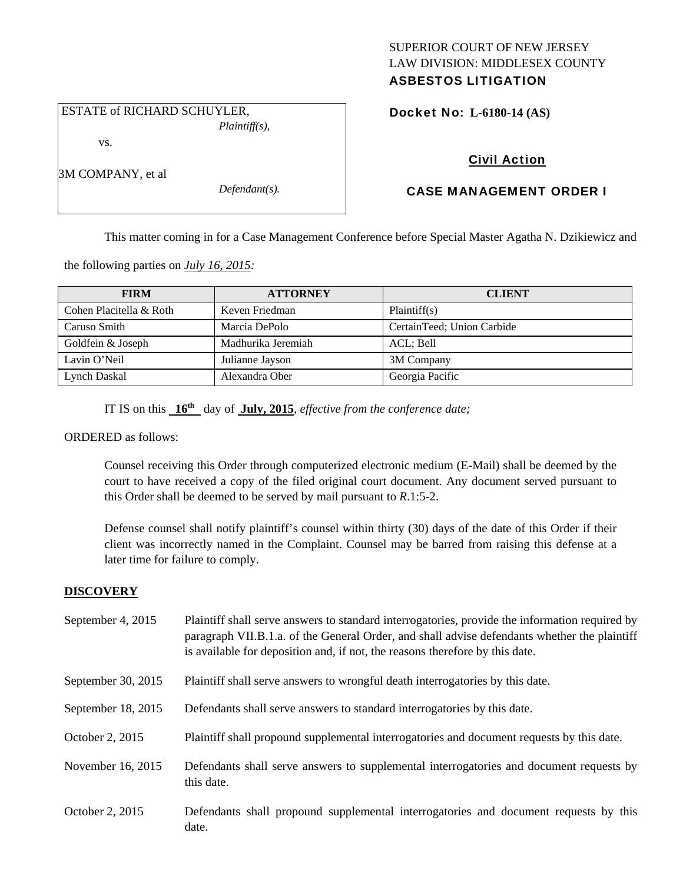# SUPERIOR COURT OF NEW JERSEY LAW DIVISION: MIDDLESEX COUNTY ASBESTOS LITIGATION

 ESTATE of RICHARD SCHUYLER, *Plaintiff(s),* 

vs.

3M COMPANY, et al

*Defendant(s).* 

Docket No: **L-6180-14 (AS)** 

# Civil Action

# CASE MANAGEMENT ORDER I

This matter coming in for a Case Management Conference before Special Master Agatha N. Dzikiewicz and

the following parties on *July 16, 2015:* 

| <b>FIRM</b>             | <b>ATTORNEY</b>    | <b>CLIENT</b>              |
|-------------------------|--------------------|----------------------------|
| Cohen Placitella & Roth | Keven Friedman     | Plaintiff(s)               |
| Caruso Smith            | Marcia DePolo      | CertainTeed; Union Carbide |
| Goldfein & Joseph       | Madhurika Jeremiah | ACL; Bell                  |
| Lavin O'Neil            | Julianne Jayson    | 3M Company                 |
| Lynch Daskal            | Alexandra Ober     | Georgia Pacific            |

IT IS on this **16th** day of **July, 2015**, *effective from the conference date;*

ORDERED as follows:

Counsel receiving this Order through computerized electronic medium (E-Mail) shall be deemed by the court to have received a copy of the filed original court document. Any document served pursuant to this Order shall be deemed to be served by mail pursuant to *R*.1:5-2.

Defense counsel shall notify plaintiff's counsel within thirty (30) days of the date of this Order if their client was incorrectly named in the Complaint. Counsel may be barred from raising this defense at a later time for failure to comply.

# **DISCOVERY**

| September 4, 2015  | Plaintiff shall serve answers to standard interrogatories, provide the information required by<br>paragraph VII.B.1.a. of the General Order, and shall advise defendants whether the plaintiff<br>is available for deposition and, if not, the reasons therefore by this date. |
|--------------------|--------------------------------------------------------------------------------------------------------------------------------------------------------------------------------------------------------------------------------------------------------------------------------|
| September 30, 2015 | Plaintiff shall serve answers to wrongful death interrogatories by this date.                                                                                                                                                                                                  |
| September 18, 2015 | Defendants shall serve answers to standard interrogatories by this date.                                                                                                                                                                                                       |
| October 2, 2015    | Plaintiff shall propound supplemental interrogatories and document requests by this date.                                                                                                                                                                                      |
| November 16, 2015  | Defendants shall serve answers to supplemental interrogatories and document requests by<br>this date.                                                                                                                                                                          |
| October 2, 2015    | Defendants shall propound supplemental interrogatories and document requests by this<br>date.                                                                                                                                                                                  |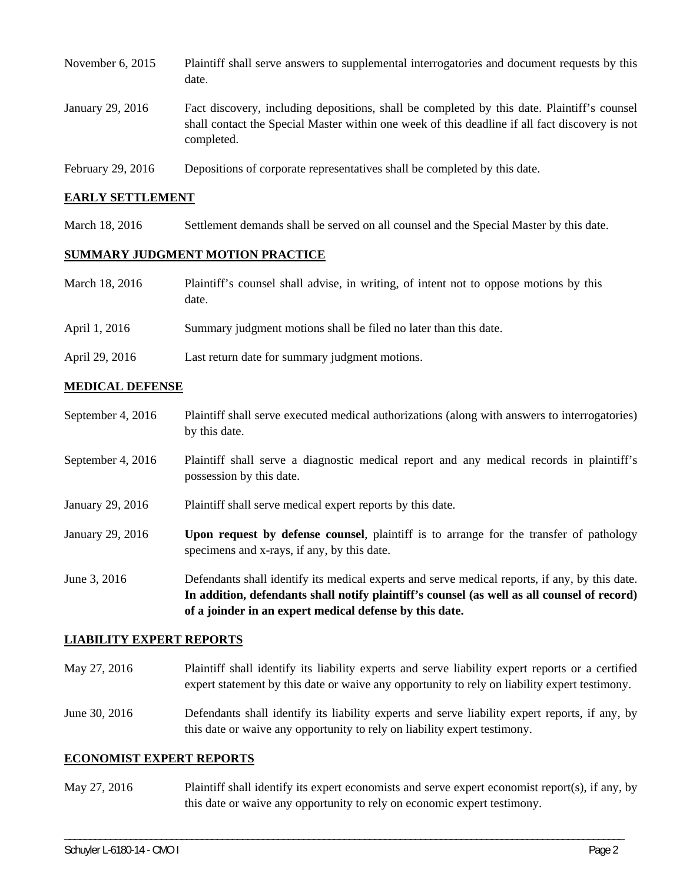| November $6, 2015$ | Plaintiff shall serve answers to supplemental interrogatories and document requests by this<br>date.                                                                                                        |
|--------------------|-------------------------------------------------------------------------------------------------------------------------------------------------------------------------------------------------------------|
| January 29, 2016   | Fact discovery, including depositions, shall be completed by this date. Plaintiff's counsel<br>shall contact the Special Master within one week of this deadline if all fact discovery is not<br>completed. |
| February 29, 2016  | Depositions of corporate representatives shall be completed by this date.                                                                                                                                   |

#### **EARLY SETTLEMENT**

March 18, 2016 Settlement demands shall be served on all counsel and the Special Master by this date.

### **SUMMARY JUDGMENT MOTION PRACTICE**

| March 18, 2016 | Plaintiff's counsel shall advise, in writing, of intent not to oppose motions by this |
|----------------|---------------------------------------------------------------------------------------|
|                | date.                                                                                 |

- April 1, 2016 Summary judgment motions shall be filed no later than this date.
- April 29, 2016 Last return date for summary judgment motions.

#### **MEDICAL DEFENSE**

- September 4, 2016 Plaintiff shall serve executed medical authorizations (along with answers to interrogatories) by this date.
- September 4, 2016 Plaintiff shall serve a diagnostic medical report and any medical records in plaintiff's possession by this date.
- January 29, 2016 Plaintiff shall serve medical expert reports by this date.
- January 29, 2016 **Upon request by defense counsel**, plaintiff is to arrange for the transfer of pathology specimens and x-rays, if any, by this date.
- June 3, 2016 Defendants shall identify its medical experts and serve medical reports, if any, by this date. **In addition, defendants shall notify plaintiff's counsel (as well as all counsel of record) of a joinder in an expert medical defense by this date.**

#### **LIABILITY EXPERT REPORTS**

May 27, 2016 Plaintiff shall identify its liability experts and serve liability expert reports or a certified expert statement by this date or waive any opportunity to rely on liability expert testimony.

June 30, 2016 Defendants shall identify its liability experts and serve liability expert reports, if any, by this date or waive any opportunity to rely on liability expert testimony.

### **ECONOMIST EXPERT REPORTS**

May 27, 2016 Plaintiff shall identify its expert economists and serve expert economist report(s), if any, by this date or waive any opportunity to rely on economic expert testimony.

\_\_\_\_\_\_\_\_\_\_\_\_\_\_\_\_\_\_\_\_\_\_\_\_\_\_\_\_\_\_\_\_\_\_\_\_\_\_\_\_\_\_\_\_\_\_\_\_\_\_\_\_\_\_\_\_\_\_\_\_\_\_\_\_\_\_\_\_\_\_\_\_\_\_\_\_\_\_\_\_\_\_\_\_\_\_\_\_\_\_\_\_\_\_\_\_\_\_\_\_\_\_\_\_\_\_\_\_\_\_